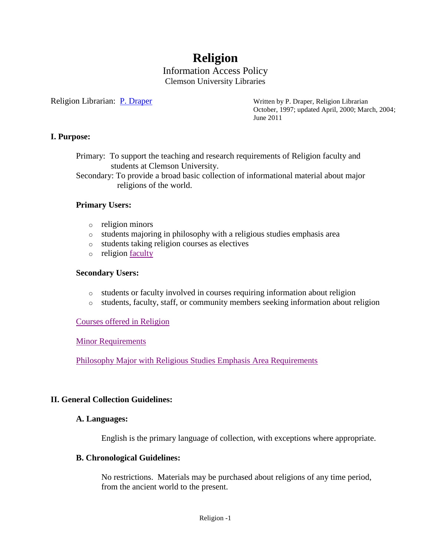# **Religion**

#### Information Access Policy Clemson University Libraries

Religion Librarian: [P. Draper](mailto:pdraper@clemson.edu) Written by P. Draper, Religion Librarian October, 1997; updated April, 2000; March, 2004; June 2011

#### **I. Purpose:**

Primary: To support the teaching and research requirements of Religion faculty and students at Clemson University.

Secondary: To provide a broad basic collection of informational material about major religions of the world.

#### **Primary Users:**

- o religion minors
- o students majoring in philosophy with a religious studies emphasis area
- o students taking religion courses as electives
- o religion <u>faculty</u>

#### **Secondary Users:**

- o students or faculty involved in courses requiring information about religion
- o students, faculty, staff, or community members seeking information about religion

[Courses offered in Religion](http://www.registrar.clemson.edu/publicat/catalog/2011/coi/hlth415-w.pdf#page=42)

[Minor Requirements](http://www.registrar.clemson.edu/publicat/catalog/2011/minors.pdf#page=4)

[Philosophy Major with Religious Studies Emphasis Area Requirements](http://www.registrar.clemson.edu/publicat/catalog/2011/aah.pdf#page=11)

#### **II. General Collection Guidelines:**

#### **A. Languages:**

English is the primary language of collection, with exceptions where appropriate.

#### **B. Chronological Guidelines:**

No restrictions. Materials may be purchased about religions of any time period, from the ancient world to the present.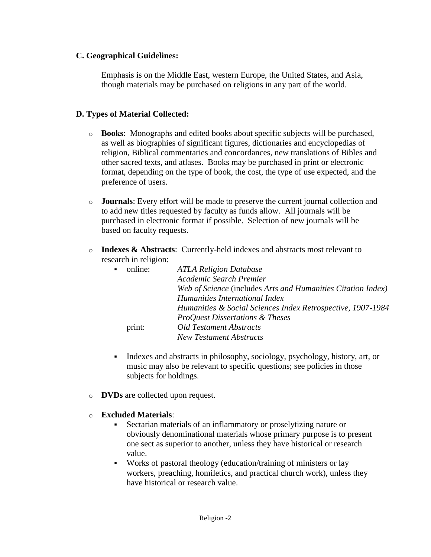#### **C. Geographical Guidelines:**

Emphasis is on the Middle East, western Europe, the United States, and Asia, though materials may be purchased on religions in any part of the world.

## **D. Types of Material Collected:**

- o **Books**: Monographs and edited books about specific subjects will be purchased, as well as biographies of significant figures, dictionaries and encyclopedias of religion, Biblical commentaries and concordances, new translations of Bibles and other sacred texts, and atlases. Books may be purchased in print or electronic format, depending on the type of book, the cost, the type of use expected, and the preference of users.
- o **Journals**: Every effort will be made to preserve the current journal collection and to add new titles requested by faculty as funds allow. All journals will be purchased in electronic format if possible. Selection of new journals will be based on faculty requests.
- o **Indexes & Abstracts**: Currently-held indexes and abstracts most relevant to research in religion:

| online: | <b>ATLA Religion Database</b>                                |
|---------|--------------------------------------------------------------|
|         | Academic Search Premier                                      |
|         | Web of Science (includes Arts and Humanities Citation Index) |
|         | Humanities International Index                               |
|         | Humanities & Social Sciences Index Retrospective, 1907-1984  |
|         | <b>ProQuest Dissertations &amp; Theses</b>                   |
| print:  | <b>Old Testament Abstracts</b>                               |
|         | <b>New Testament Abstracts</b>                               |
|         |                                                              |

- Indexes and abstracts in philosophy, sociology, psychology, history, art, or music may also be relevant to specific questions; see policies in those subjects for holdings.
- o **DVDs** are collected upon request.
- o **Excluded Materials**:
	- Sectarian materials of an inflammatory or proselytizing nature or obviously denominational materials whose primary purpose is to present one sect as superior to another, unless they have historical or research value.
	- Works of pastoral theology (education/training of ministers or lay workers, preaching, homiletics, and practical church work), unless they have historical or research value.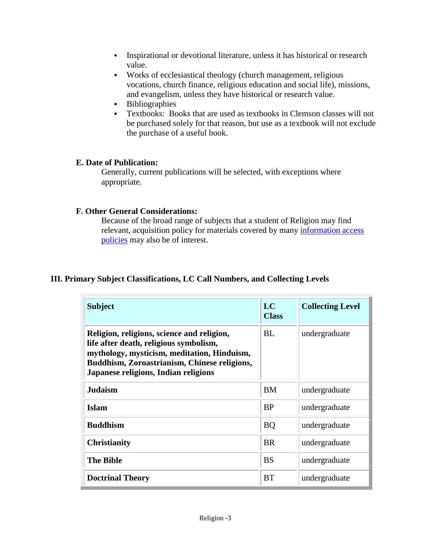- Inspirational or devotional literature, unless it has historical or research value.
- Works of ecclesiastical theology (church management, religious vocations, church finance, religious education and social life), missions, and evangelism, unless they have historical or research value.
- Bibliographies
- Textbooks: Books that are used as textbooks in Clemson classes will not be purchased solely for that reason, but use as a textbook will not exclude the purchase of a useful book.

# **E. Date of Publication:**

Generally, current publications will be selected, with exceptions where appropriate.

## **F. Other General Considerations:**

Because of the broad range of subjects that a student of Religion may find relevant, acquisition policy for materials covered by many [information access](http://www.clemson.edu/library/reference/infoAccessPolicies.html)  [policies](http://www.clemson.edu/library/reference/infoAccessPolicies.html) may also be of interest.

# **III. Primary Subject Classifications, LC Call Numbers, and Collecting Levels**

| <b>Subject</b>                                                                                                                                                                                                              | LC<br><b>Class</b> | <b>Collecting Level</b> |
|-----------------------------------------------------------------------------------------------------------------------------------------------------------------------------------------------------------------------------|--------------------|-------------------------|
| Religion, religions, science and religion,<br>life after death, religious symbolism,<br>mythology, mysticism, meditation, Hinduism,<br>Buddhism, Zoroastrianism, Chinese religions,<br>Japanese religions, Indian religions | <b>BL</b>          | undergraduate           |
| <b>Judaism</b>                                                                                                                                                                                                              | <b>BM</b>          | undergraduate           |
| <b>Islam</b>                                                                                                                                                                                                                | <b>BP</b>          | undergraduate           |
| <b>Buddhism</b>                                                                                                                                                                                                             | <b>BQ</b>          | undergraduate           |
| <b>Christianity</b>                                                                                                                                                                                                         | <b>BR</b>          | undergraduate           |
| <b>The Bible</b>                                                                                                                                                                                                            | <b>BS</b>          | undergraduate           |
| <b>Doctrinal Theory</b>                                                                                                                                                                                                     | <b>BT</b>          | undergraduate           |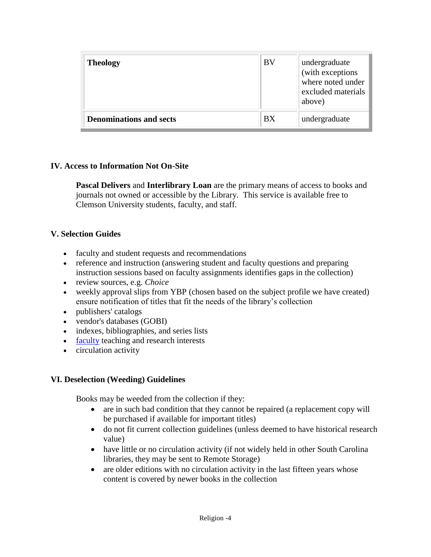| <b>Theology</b>                | BV | undergraduate<br>(with exceptions<br>where noted under<br>excluded materials<br>above) |
|--------------------------------|----|----------------------------------------------------------------------------------------|
| <b>Denominations and sects</b> | BX | undergraduate                                                                          |

## **IV. Access to Information Not On-Site**

**Pascal Delivers** and **Interlibrary Loan** are the primary means of access to books and journals not owned or accessible by the Library. This service is available free to Clemson University students, faculty, and staff.

## **V. Selection Guides**

- faculty and student requests and recommendations
- reference and instruction (answering student and faculty questions and preparing instruction sessions based on faculty assignments identifies gaps in the collection)
- review sources, e.g. *Choice*
- weekly approval slips from YBP (chosen based on the subject profile we have created) ensure notification of titles that fit the needs of the library's collection
- publishers' catalogs
- vendor's databases (GOBI)
- indexes, bibliographies, and series lists
- [faculty](http://www.clemson.edu/caah/philosophy/faculty-staff/index.html) teaching and research interests
- circulation activity

#### **VI. Deselection (Weeding) Guidelines**

Books may be weeded from the collection if they:

- are in such bad condition that they cannot be repaired (a replacement copy will be purchased if available for important titles)
- do not fit current collection guidelines (unless deemed to have historical research value)
- have little or no circulation activity (if not widely held in other South Carolina libraries, they may be sent to Remote Storage)
- are older editions with no circulation activity in the last fifteen years whose content is covered by newer books in the collection